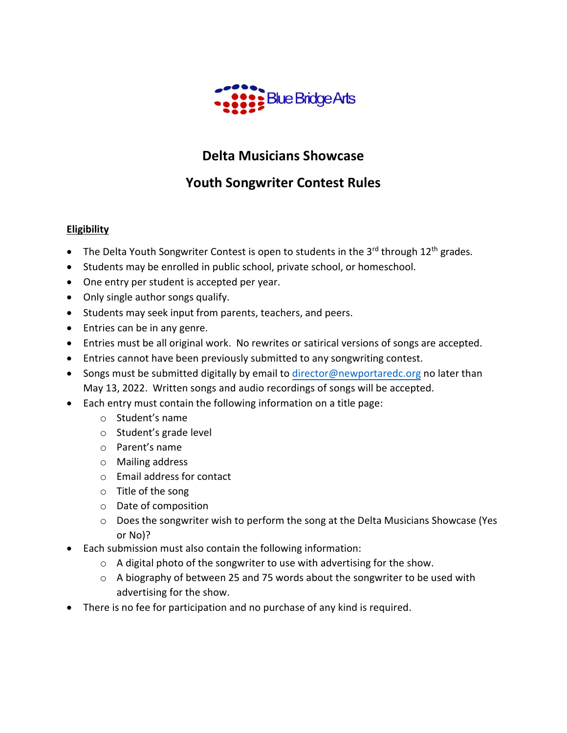

# **Delta Musicians Showcase**

# **Youth Songwriter Contest Rules**

## **Eligibility**

- The Delta Youth Songwriter Contest is open to students in the 3<sup>rd</sup> through 12<sup>th</sup> grades.
- Students may be enrolled in public school, private school, or homeschool.
- One entry per student is accepted per year.
- Only single author songs qualify.
- Students may seek input from parents, teachers, and peers.
- Entries can be in any genre.
- Entries must be all original work. No rewrites or satirical versions of songs are accepted.
- Entries cannot have been previously submitted to any songwriting contest.
- Songs must be submitted digitally by email to [director@newportaredc.org](mailto:director@newportaredc.org) no later than May 13, 2022. Written songs and audio recordings of songs will be accepted.
- Each entry must contain the following information on a title page:
	- o Student's name
	- o Student's grade level
	- o Parent's name
	- o Mailing address
	- o Email address for contact
	- o Title of the song
	- o Date of composition
	- o Does the songwriter wish to perform the song at the Delta Musicians Showcase (Yes or No)?
- Each submission must also contain the following information:
	- o A digital photo of the songwriter to use with advertising for the show.
	- o A biography of between 25 and 75 words about the songwriter to be used with advertising for the show.
- There is no fee for participation and no purchase of any kind is required.